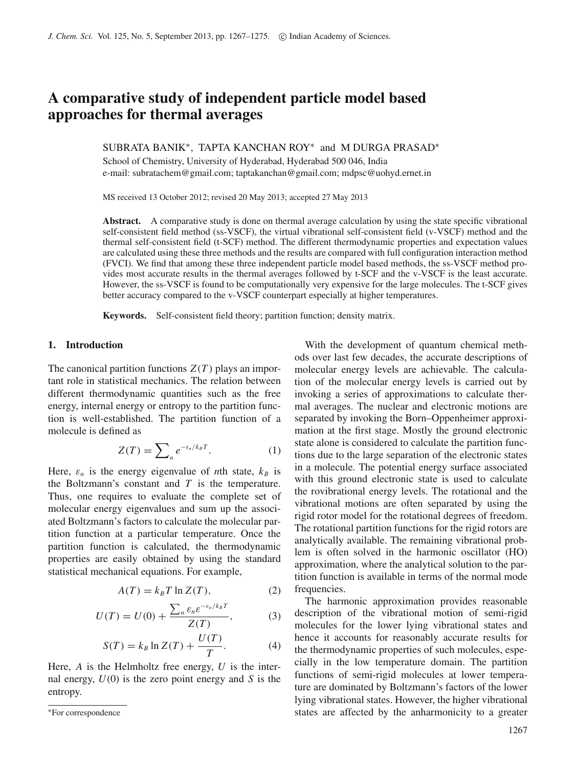# **A comparative study of independent particle model based approaches for thermal averages**

SUBRATA BANIK∗, TAPTA KANCHAN ROY<sup>∗</sup> and M DURGA PRASAD<sup>∗</sup>

School of Chemistry, University of Hyderabad, Hyderabad 500 046, India e-mail: subratachem@gmail.com; taptakanchan@gmail.com; mdpsc@uohyd.ernet.in

MS received 13 October 2012; revised 20 May 2013; accepted 27 May 2013

**Abstract.** A comparative study is done on thermal average calculation by using the state specific vibrational self-consistent field method (ss-VSCF), the virtual vibrational self-consistent field (v-VSCF) method and the thermal self-consistent field (t-SCF) method. The different thermodynamic properties and expectation values are calculated using these three methods and the results are compared with full configuration interaction method (FVCI). We find that among these three independent particle model based methods, the ss-VSCF method provides most accurate results in the thermal averages followed by t-SCF and the v-VSCF is the least accurate. However, the ss-VSCF is found to be computationally very expensive for the large molecules. The t-SCF gives better accuracy compared to the v-VSCF counterpart especially at higher temperatures.

**Keywords.** Self-consistent field theory; partition function; density matrix.

### **1. Introduction**

The canonical partition functions  $Z(T)$  plays an important role in statistical mechanics. The relation between different thermodynamic quantities such as the free energy, internal energy or entropy to the partition function is well-established. The partition function of a molecule is defined as

<span id="page-0-0"></span>
$$
Z(T) = \sum_{n} e^{-\varepsilon_n / k_B T}.
$$
 (1)

Here,  $\varepsilon_n$  is the energy eigenvalue of *n*th state,  $k_B$  is the Boltzmann's constant and  $T$  is the temperature. Thus, one requires to evaluate the complete set of molecular energy eigenvalues and sum up the associated Boltzmann's factors to calculate the molecular partition function at a particular temperature. Once the partition function is calculated, the thermodynamic properties are easily obtained by using the standard statistical mechanical equations. For example,

$$
A(T) = k_B T \ln Z(T), \qquad (2)
$$

$$
U(T) = U(0) + \frac{\sum_{n} \varepsilon_n \varepsilon^{-\varepsilon_n / k_B T}}{Z(T)},
$$
 (3)

$$
S(T) = k_B \ln Z(T) + \frac{U(T)}{T}.
$$
 (4)

Here, *A* is the Helmholtz free energy, *U* is the internal energy,  $U(0)$  is the zero point energy and *S* is the entropy.

With the development of quantum chemical methods over last few decades, the accurate descriptions of molecular energy levels are achievable. The calculation of the molecular energy levels is carried out by invoking a series of approximations to calculate thermal averages. The nuclear and electronic motions are separated by invoking the Born–Oppenheimer approximation at the first stage. Mostly the ground electronic state alone is considered to calculate the partition functions due to the large separation of the electronic states in a molecule. The potential energy surface associated with this ground electronic state is used to calculate the rovibrational energy levels. The rotational and the vibrational motions are often separated by using the rigid rotor model for the rotational degrees of freedom. The rotational partition functions for the rigid rotors are analytically available. The remaining vibrational problem is often solved in the harmonic oscillator (HO) approximation, where the analytical solution to the partition function is available in terms of the normal mode frequencies.

The harmonic approximation provides reasonable description of the vibrational motion of semi-rigid molecules for the lower lying vibrational states and hence it accounts for reasonably accurate results for the thermodynamic properties of such molecules, especially in the low temperature domain. The partition functions of semi-rigid molecules at lower temperature are dominated by Boltzmann's factors of the lower lying vibrational states. However, the higher vibrational states are affected by the anharmonicity to a greater

<sup>∗</sup>For correspondence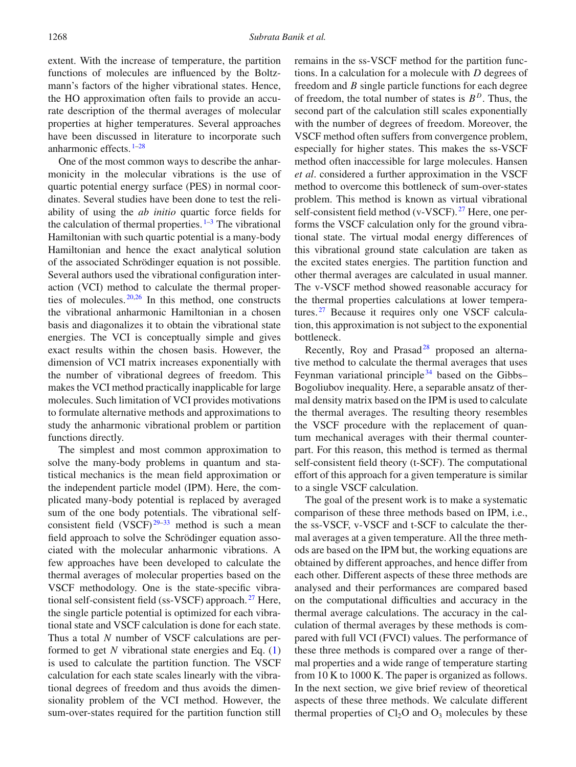extent. With the increase of temperature, the partition functions of molecules are influenced by the Boltzmann's factors of the higher vibrational states. Hence, the HO approximation often fails to provide an accurate description of the thermal averages of molecular properties at higher temperatures. Several approaches have been discussed in literature to incorporate such anharmonic effects.  $1-28$  $1-28$ 

One of the most common ways to describe the anharmonicity in the molecular vibrations is the use of quartic potential energy surface (PES) in normal coordinates. Several studies have been done to test the reliability of using the *ab initio* quartic force fields for the calculation of thermal properties.  $1-3$  $1-3$  The vibrational Hamiltonian with such quartic potential is a many-body Hamiltonian and hence the exact analytical solution of the associated Schrödinger equation is not possible. Several authors used the vibrational configuration interaction (VCI) method to calculate the thermal properties of molecules.  $20,26$  $20,26$  In this method, one constructs the vibrational anharmonic Hamiltonian in a chosen basis and diagonalizes it to obtain the vibrational state energies. The VCI is conceptually simple and gives exact results within the chosen basis. However, the dimension of VCI matrix increases exponentially with the number of vibrational degrees of freedom. This makes the VCI method practically inapplicable for large molecules. Such limitation of VCI provides motivations to formulate alternative methods and approximations to study the anharmonic vibrational problem or partition functions directly.

The simplest and most common approximation to solve the many-body problems in quantum and statistical mechanics is the mean field approximation or the independent particle model (IPM). Here, the complicated many-body potential is replaced by averaged sum of the one body potentials. The vibrational selfconsistent field  $(VSCF)^{29-33}$  $(VSCF)^{29-33}$  $(VSCF)^{29-33}$  method is such a mean field approach to solve the Schrödinger equation associated with the molecular anharmonic vibrations. A few approaches have been developed to calculate the thermal averages of molecular properties based on the VSCF methodology. One is the state-specific vibra-tional self-consistent field (ss-VSCF) approach.<sup>[27](#page-8-7)</sup> Here, the single particle potential is optimized for each vibrational state and VSCF calculation is done for each state. Thus a total *N* number of VSCF calculations are performed to get *N* vibrational state energies and Eq. [\(1\)](#page-0-0) is used to calculate the partition function. The VSCF calculation for each state scales linearly with the vibrational degrees of freedom and thus avoids the dimensionality problem of the VCI method. However, the sum-over-states required for the partition function still

remains in the ss-VSCF method for the partition functions. In a calculation for a molecule with *D* degrees of freedom and *B* single particle functions for each degree of freedom, the total number of states is  $B<sup>D</sup>$ . Thus, the second part of the calculation still scales exponentially with the number of degrees of freedom. Moreover, the VSCF method often suffers from convergence problem, especially for higher states. This makes the ss-VSCF method often inaccessible for large molecules. Hansen *et al*. considered a further approximation in the VSCF method to overcome this bottleneck of sum-over-states problem. This method is known as virtual vibrational self-consistent field method (v-VSCF).<sup>[27](#page-8-7)</sup> Here, one performs the VSCF calculation only for the ground vibrational state. The virtual modal energy differences of this vibrational ground state calculation are taken as the excited states energies. The partition function and other thermal averages are calculated in usual manner. The v-VSCF method showed reasonable accuracy for the thermal properties calculations at lower tempera-tures.<sup>[27](#page-8-7)</sup> Because it requires only one VSCF calculation, this approximation is not subject to the exponential bottleneck.

Recently, Roy and Prasad<sup>28</sup> proposed an alternative method to calculate the thermal averages that uses Feynman variational principle  $34$  based on the Gibbs– Bogoliubov inequality. Here, a separable ansatz of thermal density matrix based on the IPM is used to calculate the thermal averages. The resulting theory resembles the VSCF procedure with the replacement of quantum mechanical averages with their thermal counterpart. For this reason, this method is termed as thermal self-consistent field theory (t-SCF). The computational effort of this approach for a given temperature is similar to a single VSCF calculation.

The goal of the present work is to make a systematic comparison of these three methods based on IPM, i.e., the ss-VSCF, v-VSCF and t-SCF to calculate the thermal averages at a given temperature. All the three methods are based on the IPM but, the working equations are obtained by different approaches, and hence differ from each other. Different aspects of these three methods are analysed and their performances are compared based on the computational difficulties and accuracy in the thermal average calculations. The accuracy in the calculation of thermal averages by these methods is compared with full VCI (FVCI) values. The performance of these three methods is compared over a range of thermal properties and a wide range of temperature starting from 10 K to 1000 K. The paper is organized as follows. In the next section, we give brief review of theoretical aspects of these three methods. We calculate different thermal properties of  $Cl<sub>2</sub>O$  and  $O<sub>3</sub>$  molecules by these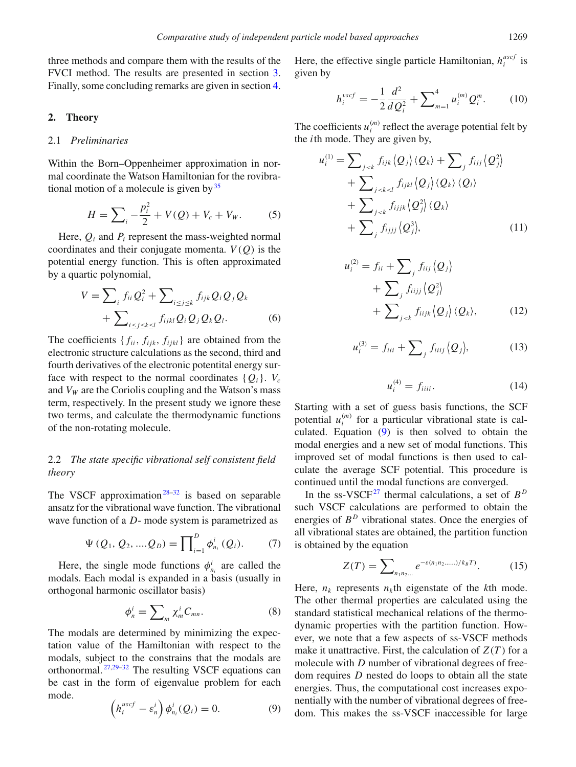three methods and compare them with the results of the FVCI method. The results are presented in section [3.](#page-4-0) Finally, some concluding remarks are given in section [4.](#page-7-0)

#### **2. Theory**

## 2.1 *Preliminaries*

Within the Born–Oppenheimer approximation in normal coordinate the Watson Hamiltonian for the rovibrational motion of a molecule is given by  $35$ 

$$
H = \sum_{i} -\frac{p_i^2}{2} + V(Q) + V_c + V_W.
$$
 (5)

Here,  $Q_i$  and  $P_i$  represent the mass-weighted normal coordinates and their conjugate momenta.  $V(Q)$  is the potential energy function. This is often approximated by a quartic polynomial,

$$
V = \sum_{i} f_{ii} Q_i^2 + \sum_{i \le j \le k} f_{ijk} Q_i Q_j Q_k + \sum_{i \le j \le k \le l} f_{ijkl} Q_i Q_j Q_k Q_l.
$$
 (6)

The coefficients  $\{f_{ii}, f_{ijk}, f_{ijkl}\}$  are obtained from the electronic structure calculations as the second, third and fourth derivatives of the electronic potentital energy surface with respect to the normal coordinates  $\{Q_i\}$ .  $V_c$ and  $V_W$  are the Coriolis coupling and the Watson's mass term, respectively. In the present study we ignore these two terms, and calculate the thermodynamic functions of the non-rotating molecule.

# 2.2 *The state specific vibrational self consistent field theory*

The VSCF approximation<sup>28[–32](#page-8-10)</sup> is based on separable ansatz for the vibrational wave function. The vibrational wave function of a *D*- mode system is parametrized as

$$
\Psi (Q_1, Q_2, ....Q_D) = \prod_{i=1}^D \phi_{n_i}^i (Q_i). \tag{7}
$$

Here, the single mode functions  $\phi_{n_i}^i$  are called the modals. Each modal is expanded in a basis (usually in orthogonal harmonic oscillator basis)

$$
\phi_n^i = \sum_m \chi_m^i C_{mn}.\tag{8}
$$

The modals are determined by minimizing the expectation value of the Hamiltonian with respect to the modals, subject to the constrains that the modals are orthonormal.  $27,29-32$  $27,29-32$  $27,29-32$  The resulting VSCF equations can be cast in the form of eigenvalue problem for each mode.

<span id="page-2-0"></span>
$$
\left(h_i^{uscf} - \varepsilon_n^i\right) \phi_{n_i}^i(Q_i) = 0.
$$
 (9)

Here, the effective single particle Hamiltonian,  $h_i^{user}$  is given by

$$
h_i^{vscf} = -\frac{1}{2}\frac{d^2}{dQ_i^2} + \sum_{m=1}^4 u_i^{(m)} Q_i^m.
$$
 (10)

The coefficients  $u_i^{(m)}$  reflect the average potential felt by the *i*th mode. They are given by,

<span id="page-2-1"></span>
$$
u_i^{(1)} = \sum_{j < k} f_{ijk} \langle Q_j \rangle \langle Q_k \rangle + \sum_j f_{ijj} \langle Q_j^2 \rangle + \sum_{j < k < l} f_{ijkl} \langle Q_j \rangle \langle Q_k \rangle \langle Q_l \rangle + \sum_{j < k} f_{ijjk} \langle Q_j^2 \rangle \langle Q_k \rangle + \sum_j f_{ijjj} \langle Q_j^3 \rangle, \tag{11}
$$

$$
u_i^{(2)} = f_{ii} + \sum_j f_{iij} \langle Q_j \rangle
$$
  
+ 
$$
\sum_j f_{iijj} \langle Q_j^2 \rangle
$$
  
+ 
$$
\sum_{j < k} f_{iijk} \langle Q_j \rangle \langle Q_k \rangle, \qquad (12)
$$

$$
u_i^{(3)} = f_{iii} + \sum_j f_{iiij} \langle Q_j \rangle, \tag{13}
$$

<span id="page-2-2"></span>
$$
u_i^{(4)} = f_{iiii}.\tag{14}
$$

Starting with a set of guess basis functions, the SCF potential  $u_i^{(m)}$  for a particular vibrational state is calculated. Equation  $(9)$  is then solved to obtain the modal energies and a new set of modal functions. This improved set of modal functions is then used to calculate the average SCF potential. This procedure is continued until the modal functions are converged.

In the ss-VSCF<sup>27</sup> thermal calculations, a set of  $B^D$ such VSCF calculations are performed to obtain the energies of  $B<sup>D</sup>$  vibrational states. Once the energies of all vibrational states are obtained, the partition function is obtained by the equation

$$
Z(T) = \sum_{n_1 n_2 \dots} e^{-\varepsilon (n_1 n_2 \dots n)/k_B T}.
$$
 (15)

Here,  $n_k$  represents  $n_k$ th eigenstate of the *k*th mode. The other thermal properties are calculated using the standard statistical mechanical relations of the thermodynamic properties with the partition function. However, we note that a few aspects of ss-VSCF methods make it unattractive. First, the calculation of  $Z(T)$  for a molecule with *D* number of vibrational degrees of freedom requires *D* nested do loops to obtain all the state energies. Thus, the computational cost increases exponentially with the number of vibrational degrees of freedom. This makes the ss-VSCF inaccessible for large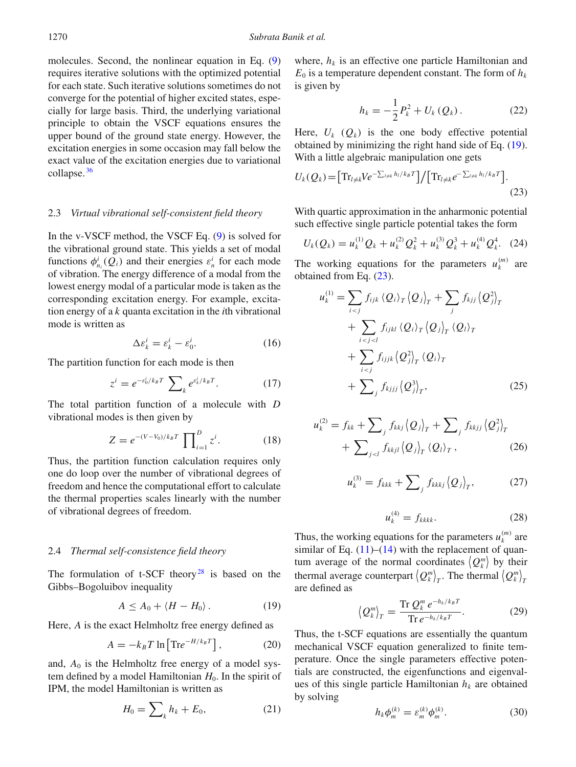molecules. Second, the nonlinear equation in Eq. [\(9\)](#page-2-0) requires iterative solutions with the optimized potential for each state. Such iterative solutions sometimes do not converge for the potential of higher excited states, especially for large basis. Third, the underlying variational principle to obtain the VSCF equations ensures the upper bound of the ground state energy. However, the excitation energies in some occasion may fall below the exact value of the excitation energies due to variational collapse. [36](#page-8-11)

#### 2.3 *Virtual vibrational self-consistent field theory*

In the v-VSCF method, the VSCF Eq. [\(9\)](#page-2-0) is solved for the vibrational ground state. This yields a set of modal functions  $\phi_{n_i}^i(Q_i)$  and their energies  $\varepsilon_n^i$  for each mode of vibration. The energy difference of a modal from the lowest energy modal of a particular mode is taken as the corresponding excitation energy. For example, excitation energy of a *k* quanta excitation in the *i*th vibrational mode is written as

$$
\Delta \varepsilon_k^i = \varepsilon_k^i - \varepsilon_0^i. \tag{16}
$$

The partition function for each mode is then

$$
z^{i} = e^{-\varepsilon_{0}^{i}/k_{B}T} \sum\nolimits_{k} e^{\varepsilon_{k}^{i}/k_{B}T}.
$$
 (17)

The total partition function of a molecule with *D* vibrational modes is then given by

$$
Z = e^{-(V - V_0)/k_B T} \prod_{i=1}^{D} z^i.
$$
 (18)

Thus, the partition function calculation requires only one do loop over the number of vibrational degrees of freedom and hence the computational effort to calculate the thermal properties scales linearly with the number of vibrational degrees of freedom.

#### 2.4 *Thermal self-consistence field theory*

The formulation of  $t$ -SCF theory<sup>28</sup> is based on the Gibbs–Bogoluibov inequality

<span id="page-3-0"></span>
$$
A \le A_0 + \langle H - H_0 \rangle. \tag{19}
$$

Here, *A* is the exact Helmholtz free energy defined as

$$
A = -k_B T \ln \left[ \text{Tr} e^{-H/k_B T} \right],\tag{20}
$$

and,  $A_0$  is the Helmholtz free energy of a model system defined by a model Hamiltonian  $H<sub>0</sub>$ . In the spirit of IPM, the model Hamiltonian is written as

$$
H_0 = \sum_k h_k + E_0,\t\t(21)
$$

where,  $h_k$  is an effective one particle Hamiltonian and  $E_0$  is a temperature dependent constant. The form of  $h_k$ is given by

$$
h_k = -\frac{1}{2}P_k^2 + U_k(Q_k).
$$
 (22)

Here,  $U_k$  ( $Q_k$ ) is the one body effective potential obtained by minimizing the right hand side of Eq. [\(19\)](#page-3-0). With a little algebraic manipulation one gets

<span id="page-3-1"></span>
$$
U_k(Q_k) = \left[ \operatorname{Tr}_{l \neq k} V e^{-\sum_{l \neq k} h_l / k_B T} \right] / \left[ \operatorname{Tr}_{l \neq k} e^{-\sum_{l \neq k} h_l / k_B T} \right]. \tag{23}
$$

With quartic approximation in the anharmonic potential such effective single particle potential takes the form

$$
U_k(Q_k) = u_k^{(1)} Q_k + u_k^{(2)} Q_k^2 + u_k^{(3)} Q_k^3 + u_k^{(4)} Q_k^4. \quad (24)
$$

The working equations for the parameters  $u_k^{(m)}$  are obtained from Eq. [\(23\)](#page-3-1).

$$
u_k^{(1)} = \sum_{i < j} f_{ijk} \langle Q_i \rangle_T \langle Q_j \rangle_T + \sum_j f_{kjj} \langle Q_j^2 \rangle_T
$$
\n
$$
+ \sum_{i < j < l} f_{ijkl} \langle Q_i \rangle_T \langle Q_j \rangle_T \langle Q_l \rangle_T
$$
\n
$$
+ \sum_{i < j} f_{ijjk} \langle Q_j^2 \rangle_T \langle Q_i \rangle_T
$$
\n
$$
+ \sum_j f_{kjjj} \langle Q_j^3 \rangle_T, \qquad (25)
$$

$$
u_k^{(2)} = f_{kk} + \sum_j f_{kkj} \langle Q_j \rangle_T + \sum_j f_{kkj} \langle Q_j^2 \rangle_T
$$

$$
+ \sum_{j < l} f_{kkj} \langle Q_j \rangle_T \langle Q_l \rangle_T, \qquad (26)
$$

$$
u_k^{(3)} = f_{kkk} + \sum_j f_{kkkj} \langle Q_j \rangle_T, \qquad (27)
$$

$$
u_k^{(4)} = f_{kkkk}.\tag{28}
$$

Thus, the working equations for the parameters  $u_k^{(m)}$  are similar of Eq.  $(11)$ – $(14)$  with the replacement of quantum average of the normal coordinates  $\langle Q_k^m \rangle$  by their thermal average counterpart  $\langle Q_k^m \rangle_T$ . The thermal  $\langle Q_k^m \rangle_T$ are defined as

<span id="page-3-3"></span>
$$
\left\langle \mathcal{Q}_k^m \right\rangle_T = \frac{\text{Tr}\,\mathcal{Q}_k^m \,e^{-h_k/k_B T}}{\text{Tr}\,e^{-h_k/k_B T}}.\tag{29}
$$

Thus, the t-SCF equations are essentially the quantum mechanical VSCF equation generalized to finite temperature. Once the single parameters effective potentials are constructed, the eigenfunctions and eigenvalues of this single particle Hamiltonian  $h_k$  are obtained by solving

<span id="page-3-2"></span>
$$
h_k \phi_m^{(k)} = \varepsilon_m^{(k)} \phi_m^{(k)}.
$$
 (30)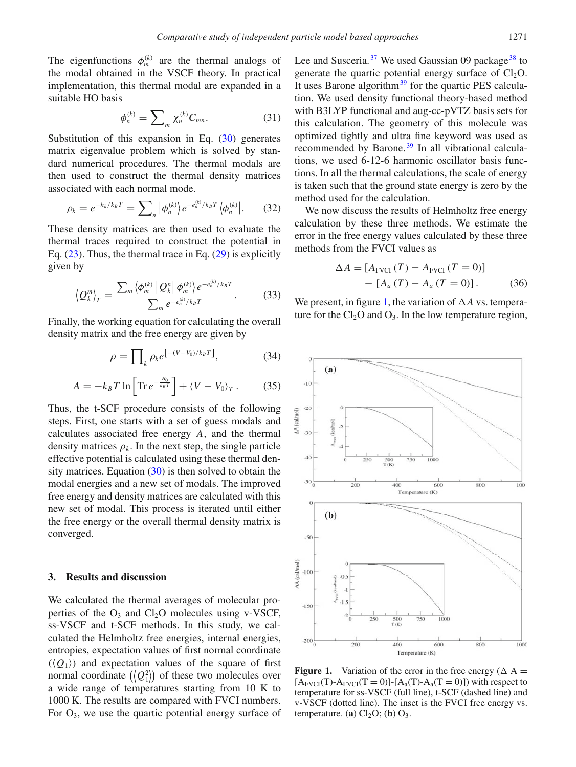The eigenfunctions  $\phi_m^{(k)}$  are the thermal analogs of the modal obtained in the VSCF theory. In practical implementation, this thermal modal are expanded in a suitable HO basis

$$
\phi_n^{(k)} = \sum_m \chi_n^{(k)} C_{mn}.
$$
 (31)

Substitution of this expansion in Eq.  $(30)$  generates matrix eigenvalue problem which is solved by standard numerical procedures. The thermal modals are then used to construct the thermal density matrices associated with each normal mode.

$$
\rho_k = e^{-h_k/k_B T} = \sum_n |\phi_n^{(k)}\rangle e^{-e_n^{(k)}/k_B T} \langle \phi_n^{(k)}|.
$$
 (32)

These density matrices are then used to evaluate the thermal traces required to construct the potential in Eq.  $(23)$ . Thus, the thermal trace in Eq.  $(29)$  is explicitly given by

$$
\left\langle \mathcal{Q}_{k}^{m}\right\rangle_{T} = \frac{\sum_{m} \left\langle \phi_{m}^{(k)} \left| \mathcal{Q}_{k}^{n} \right| \phi_{m}^{(k)} \right\rangle e^{-e_{n}^{(k)}/k_{B}T}}{\sum_{m} e^{-e_{n}^{(k)}/k_{B}T}}.
$$
 (33)

Finally, the working equation for calculating the overall density matrix and the free energy are given by

$$
\rho = \prod_{k} \rho_k e^{(-\left(V - V_0\right)/k_B T]},\tag{34}
$$

$$
A = -k_B T \ln \left[ \text{Tr} \, e^{-\frac{H_0}{k_B T}} \right] + \langle V - V_0 \rangle_T \,. \tag{35}
$$

Thus, the t-SCF procedure consists of the following steps. First, one starts with a set of guess modals and calculates associated free energy *A*, and the thermal density matrices  $\rho_k$ . In the next step, the single particle effective potential is calculated using these thermal density matrices. Equation  $(30)$  is then solved to obtain the modal energies and a new set of modals. The improved free energy and density matrices are calculated with this new set of modal. This process is iterated until either the free energy or the overall thermal density matrix is converged.

#### <span id="page-4-0"></span>**3. Results and discussion**

We calculated the thermal averages of molecular properties of the  $O_3$  and  $Cl_2O$  molecules using v-VSCF, ss-VSCF and t-SCF methods. In this study, we calculated the Helmholtz free energies, internal energies, entropies, expectation values of first normal coordinate  $(\langle Q_1 \rangle)$  and expectation values of the square of first normal coordinate  $(\langle Q_1^2 \rangle)$  of these two molecules over a wide range of temperatures starting from 10 K to 1000 K. The results are compared with FVCI numbers. For  $O_3$ , we use the quartic potential energy surface of Lee and Susceria.  $37$  We used Gaussian 09 package  $38$  to generate the quartic potential energy surface of  $Cl_2O$ . It uses Barone algorithm $39$  for the quartic PES calculation. We used density functional theory-based method with B3LYP functional and aug-cc-pVTZ basis sets for this calculation. The geometry of this molecule was optimized tightly and ultra fine keyword was used as recommended by Barone.<sup>[39](#page-8-14)</sup> In all vibrational calculations, we used 6-12-6 harmonic oscillator basis functions. In all the thermal calculations, the scale of energy is taken such that the ground state energy is zero by the method used for the calculation.

We now discuss the results of Helmholtz free energy calculation by these three methods. We estimate the error in the free energy values calculated by these three methods from the FVCI values as

<span id="page-4-2"></span>
$$
\Delta A = [A_{\text{FVCI}} (T) - A_{\text{FVCI}} (T = 0)] - [A_a (T) - A_a (T = 0)].
$$
 (36)

We present, in figure [1,](#page-4-1) the variation of  $\Delta A$  vs. temperature for the  $Cl<sub>2</sub>O$  and  $O<sub>3</sub>$ . In the low temperature region,

<span id="page-4-1"></span>

**Figure 1.** Variation of the error in the free energy ( $\Delta A$  =  $[A_{\text{FVCI}}(T)-A_{\text{FVCI}}(T=0)]-[A_{a}(T)-A_{a}(T=0)])$  with respect to temperature for ss-VSCF (full line), t-SCF (dashed line) and v-VSCF (dotted line). The inset is the FVCI free energy vs. temperature. (**a**)  $Cl<sub>2</sub>O$ ; (**b**)  $O<sub>3</sub>$ .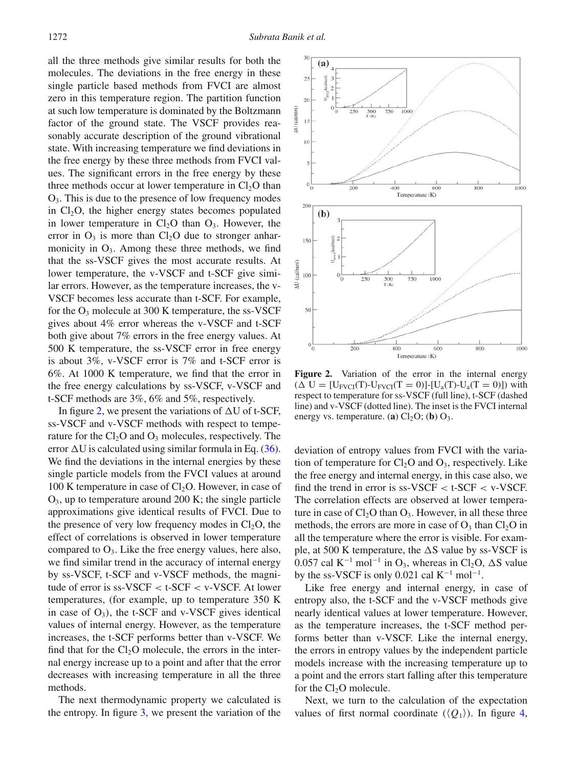all the three methods give similar results for both the molecules. The deviations in the free energy in these single particle based methods from FVCI are almost zero in this temperature region. The partition function at such low temperature is dominated by the Boltzmann factor of the ground state. The VSCF provides reasonably accurate description of the ground vibrational state. With increasing temperature we find deviations in the free energy by these three methods from FVCI values. The significant errors in the free energy by these three methods occur at lower temperature in  $Cl<sub>2</sub>O$  than  $O_3$ . This is due to the presence of low frequency modes in  $Cl<sub>2</sub>O$ , the higher energy states becomes populated in lower temperature in  $Cl<sub>2</sub>O$  than  $O<sub>3</sub>$ . However, the error in  $O_3$  is more than  $Cl_2O$  due to stronger anharmonicity in  $O_3$ . Among these three methods, we find that the ss-VSCF gives the most accurate results. At lower temperature, the v-VSCF and t-SCF give similar errors. However, as the temperature increases, the v-VSCF becomes less accurate than t-SCF. For example, for the  $O_3$  molecule at 300 K temperature, the ss-VSCF gives about 4% error whereas the v-VSCF and t-SCF both give about 7% errors in the free energy values. At 500 K temperature, the ss-VSCF error in free energy is about 3%, v-VSCF error is 7% and t-SCF error is 6%. At 1000 K temperature, we find that the error in the free energy calculations by ss-VSCF, v-VSCF and t-SCF methods are 3%, 6% and 5%, respectively.

In figure [2,](#page-5-0) we present the variations of  $\Delta U$  of t-SCF, ss-VSCF and v-VSCF methods with respect to temperature for the  $Cl<sub>2</sub>O$  and  $O<sub>3</sub>$  molecules, respectively. The error  $\Delta U$  is calculated using similar formula in Eq. [\(36\)](#page-4-2). We find the deviations in the internal energies by these single particle models from the FVCI values at around 100 K temperature in case of  $Cl<sub>2</sub>O$ . However, in case of  $O_3$ , up to temperature around 200 K; the single particle approximations give identical results of FVCI. Due to the presence of very low frequency modes in  $Cl<sub>2</sub>O$ , the effect of correlations is observed in lower temperature compared to  $O_3$ . Like the free energy values, here also, we find similar trend in the accuracy of internal energy by ss-VSCF, t-SCF and v-VSCF methods, the magnitude of error is ss-VSCF < t-SCF < v-VSCF. At lower temperatures, (for example, up to temperature 350 K in case of  $O_3$ ), the t-SCF and v-VSCF gives identical values of internal energy. However, as the temperature increases, the t-SCF performs better than v-VSCF. We find that for the  $Cl<sub>2</sub>O$  molecule, the errors in the internal energy increase up to a point and after that the error decreases with increasing temperature in all the three methods.

The next thermodynamic property we calculated is the entropy. In figure [3,](#page-6-0) we present the variation of the

<span id="page-5-0"></span>

Figure 2. Variation of the error in the internal energy  $(\Delta U = [U_{\text{FVCI}}(T)-U_{\text{FVCI}}(T=0)]-[U_{a}(T)-U_{a}(T=0)])$  with respect to temperature for ss-VSCF (full line), t-SCF (dashed line) and v-VSCF (dotted line). The inset is the FVCI internal energy vs. temperature. (**a**)  $Cl_2O$ ; (**b**)  $O_3$ .

deviation of entropy values from FVCI with the variation of temperature for  $Cl_2O$  and  $O_3$ , respectively. Like the free energy and internal energy, in this case also, we find the trend in error is ss-VSCF  $\lt$  t-SCF  $\lt$  v-VSCF. The correlation effects are observed at lower temperature in case of  $Cl<sub>2</sub>O$  than  $O<sub>3</sub>$ . However, in all these three methods, the errors are more in case of  $O_3$  than  $Cl_2O$  in all the temperature where the error is visible. For example, at 500 K temperature, the  $\Delta S$  value by ss-VSCF is 0.057 cal K<sup>-1</sup> mol<sup>-1</sup> in O<sub>3</sub>, whereas in Cl<sub>2</sub>O,  $\Delta S$  value by the ss-VSCF is only 0.021 cal  $K^{-1}$  mol<sup>-1</sup>.

Like free energy and internal energy, in case of entropy also, the t-SCF and the v-VSCF methods give nearly identical values at lower temperature. However, as the temperature increases, the t-SCF method performs better than v-VSCF. Like the internal energy, the errors in entropy values by the independent particle models increase with the increasing temperature up to a point and the errors start falling after this temperature for the  $Cl<sub>2</sub>O$  molecule.

Next, we turn to the calculation of the expectation values of first normal coordinate  $(\langle Q_1 \rangle)$ . In figure [4,](#page-6-1)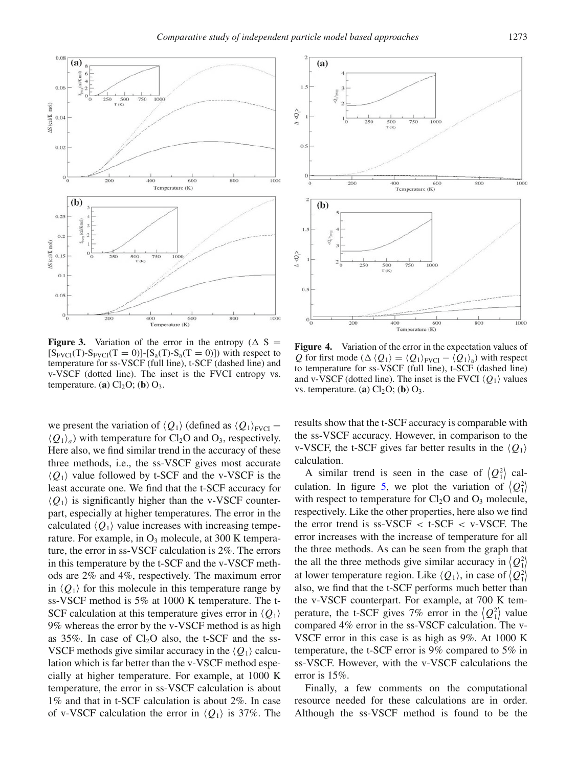<span id="page-6-0"></span>

**Figure 3.** Variation of the error in the entropy ( $\Delta S$ )  $[S_{\text{FVCI}}(T)-S_{\text{FVCI}}(T=0)]-[S_a(T)-S_a(T=0)])$  with respect to temperature for ss-VSCF (full line), t-SCF (dashed line) and v-VSCF (dotted line). The inset is the FVCI entropy vs. temperature. (**a**)  $Cl<sub>2</sub>O$ ; (**b**)  $O<sub>3</sub>$ .

we present the variation of  $\langle Q_1 \rangle$  (defined as  $\langle Q_1 \rangle_{\text{FVCI}}$  –  $\langle Q_1 \rangle_a$  with temperature for Cl<sub>2</sub>O and O<sub>3</sub>, respectively. Here also, we find similar trend in the accuracy of these three methods, i.e., the ss-VSCF gives most accurate  $\langle Q_1 \rangle$  value followed by t-SCF and the v-VSCF is the least accurate one. We find that the t-SCF accuracy for  $\langle Q_1 \rangle$  is significantly higher than the v-VSCF counterpart, especially at higher temperatures. The error in the calculated  $\langle Q_1 \rangle$  value increases with increasing temperature. For example, in  $O_3$  molecule, at 300 K temperature, the error in ss-VSCF calculation is 2%. The errors in this temperature by the t-SCF and the v-VSCF methods are 2% and 4%, respectively. The maximum error in  $\langle Q_1 \rangle$  for this molecule in this temperature range by ss-VSCF method is 5% at 1000 K temperature. The t-SCF calculation at this temperature gives error in  $\langle Q_1 \rangle$ 9% whereas the error by the v-VSCF method is as high as  $35\%$ . In case of  $Cl<sub>2</sub>O$  also, the t-SCF and the ss-VSCF methods give similar accuracy in the  $\langle Q_1 \rangle$  calculation which is far better than the v-VSCF method especially at higher temperature. For example, at 1000 K temperature, the error in ss-VSCF calculation is about 1% and that in t-SCF calculation is about 2%. In case of v-VSCF calculation the error in  $\langle Q_1 \rangle$  is 37%. The

<span id="page-6-1"></span>

**Figure 4.** Variation of the error in the expectation values of *Q* for first mode ( $\Delta \langle Q_1 \rangle = \langle Q_1 \rangle_{\text{FVCI}} - \langle Q_1 \rangle_{\text{a}}$ ) with respect to temperature for ss-VSCF (full line), t-SCF (dashed line) and v-VSCF (dotted line). The inset is the FVCI  $\langle Q_1 \rangle$  values vs. temperature. (**a**)  $Cl<sub>2</sub>O$ ; (**b**)  $O<sub>3</sub>$ .

results show that the t-SCF accuracy is comparable with the ss-VSCF accuracy. However, in comparison to the v-VSCF, the t-SCF gives far better results in the  $\langle Q_1 \rangle$ calculation.

A similar trend is seen in the case of  $\langle Q_1^2 \rangle$  cal-culation. In figure [5,](#page-7-1) we plot the variation of  $\langle Q_1^2 \rangle$ with respect to temperature for  $Cl<sub>2</sub>O$  and  $O<sub>3</sub>$  molecule, respectively. Like the other properties, here also we find the error trend is  $ss-VSCF < t-SCF < v-VSCF$ . The error increases with the increase of temperature for all the three methods. As can be seen from the graph that the all the three methods give similar accuracy in  $\langle Q_1^2 \rangle$ at lower temperature region. Like  $\langle Q_1 \rangle$ , in case of  $\langle Q_1^2 \rangle$ also, we find that the t-SCF performs much better than the v-VSCF counterpart. For example, at 700 K temperature, the t-SCF gives 7% error in the  $\langle Q_1^2 \rangle$  value compared 4% error in the ss-VSCF calculation. The v-VSCF error in this case is as high as 9%. At 1000 K temperature, the t-SCF error is 9% compared to 5% in ss-VSCF. However, with the v-VSCF calculations the error is 15%.

Finally, a few comments on the computational resource needed for these calculations are in order. Although the ss-VSCF method is found to be the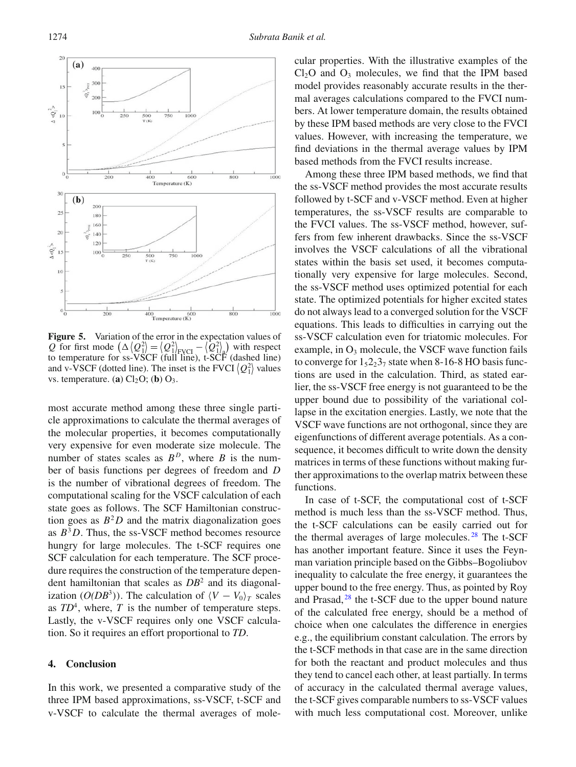<span id="page-7-1"></span>

**Figure 5.** Variation of the error in the expectation values of Q for first mode  $(\Delta \langle Q_1^2 \rangle = \langle Q_1^2 \rangle_{\text{FVCI}} - \langle Q_1^2 \rangle_{\text{a}})$  with respect to temperature for ss-VSCF (full line), t-SCF (dashed line) and v-VSCF (dotted line). The inset is the FVCI  $\langle Q_1^2 \rangle$  values vs. temperature. (**a**)  $Cl<sub>2</sub>O$ ; (**b**)  $O<sub>3</sub>$ .

most accurate method among these three single particle approximations to calculate the thermal averages of the molecular properties, it becomes computationally very expensive for even moderate size molecule. The number of states scales as  $B<sup>D</sup>$ , where *B* is the number of basis functions per degrees of freedom and *D* is the number of vibrational degrees of freedom. The computational scaling for the VSCF calculation of each state goes as follows. The SCF Hamiltonian construction goes as  $B^2D$  and the matrix diagonalization goes as  $B^3D$ . Thus, the ss-VSCF method becomes resource hungry for large molecules. The t-SCF requires one SCF calculation for each temperature. The SCF procedure requires the construction of the temperature dependent hamiltonian that scales as *DB*<sup>2</sup> and its diagonalization ( $O(DB^3)$ ). The calculation of  $\langle V - V_0 \rangle_T$  scales as  $TD^4$ , where,  $T$  is the number of temperature steps. Lastly, the v-VSCF requires only one VSCF calculation. So it requires an effort proportional to *TD*.

#### <span id="page-7-0"></span>**4. Conclusion**

In this work, we presented a comparative study of the three IPM based approximations, ss-VSCF, t-SCF and v-VSCF to calculate the thermal averages of molecular properties. With the illustrative examples of the  $Cl<sub>2</sub>O$  and  $O<sub>3</sub>$  molecules, we find that the IPM based model provides reasonably accurate results in the thermal averages calculations compared to the FVCI numbers. At lower temperature domain, the results obtained by these IPM based methods are very close to the FVCI values. However, with increasing the temperature, we find deviations in the thermal average values by IPM based methods from the FVCI results increase.

Among these three IPM based methods, we find that the ss-VSCF method provides the most accurate results followed by t-SCF and v-VSCF method. Even at higher temperatures, the ss-VSCF results are comparable to the FVCI values. The ss-VSCF method, however, suffers from few inherent drawbacks. Since the ss-VSCF involves the VSCF calculations of all the vibrational states within the basis set used, it becomes computationally very expensive for large molecules. Second, the ss-VSCF method uses optimized potential for each state. The optimized potentials for higher excited states do not always lead to a converged solution for the VSCF equations. This leads to difficulties in carrying out the ss-VSCF calculation even for triatomic molecules. For example, in  $O_3$  molecule, the VSCF wave function fails to converge for  $1_52_23_7$  state when 8-16-8 HO basis functions are used in the calculation. Third, as stated earlier, the ss-VSCF free energy is not guaranteed to be the upper bound due to possibility of the variational collapse in the excitation energies. Lastly, we note that the VSCF wave functions are not orthogonal, since they are eigenfunctions of different average potentials. As a consequence, it becomes difficult to write down the density matrices in terms of these functions without making further approximations to the overlap matrix between these functions.

In case of t-SCF, the computational cost of t-SCF method is much less than the ss-VSCF method. Thus, the t-SCF calculations can be easily carried out for the thermal averages of large molecules.<sup>[28](#page-8-1)</sup> The t-SCF has another important feature. Since it uses the Feynman variation principle based on the Gibbs–Bogoliubov inequality to calculate the free energy, it guarantees the upper bound to the free energy. Thus, as pointed by Roy and Prasad, [28](#page-8-1) the t-SCF due to the upper bound nature of the calculated free energy, should be a method of choice when one calculates the difference in energies e.g., the equilibrium constant calculation. The errors by the t-SCF methods in that case are in the same direction for both the reactant and product molecules and thus they tend to cancel each other, at least partially. In terms of accuracy in the calculated thermal average values, the t-SCF gives comparable numbers to ss-VSCF values with much less computational cost. Moreover, unlike